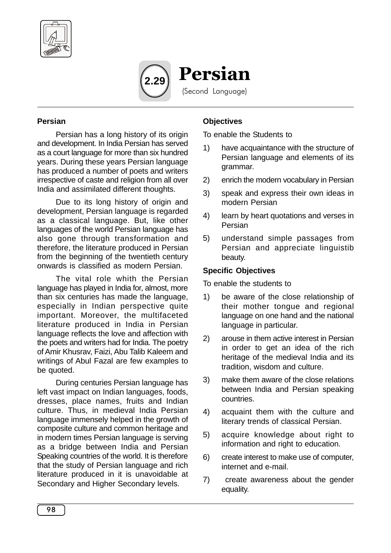



#### **Persian**

Persian has a long history of its origin and development. In India Persian has served as a court language for more than six hundred years. During these years Persian language has produced a number of poets and writers irrespective of caste and religion from all over India and assimilated different thoughts.

Due to its long history of origin and development, Persian language is regarded as a classical language. But, like other languages of the world Persian language has also gone through transformation and therefore, the literature produced in Persian from the beginning of the twentieth century onwards is classified as modern Persian.

The vital role whith the Persian language has played in India for, almost, more than six centuries has made the language, especially in Indian perspective quite important. Moreover, the multifaceted literature produced in India in Persian language reflects the love and affection with the poets and writers had for India. The poetry of Amir Khusrav, Faizi, Abu Talib Kaleem and writings of Abul Fazal are few examples to be quoted.

During centuries Persian language has left vast impact on Indian languages, foods, dresses, place names, fruits and Indian culture. Thus, in medieval India Persian language immensely helped in the growth of composite culture and common heritage and in modern times Persian language is serving as a bridge between India and Persian Speaking countries of the world. It is therefore that the study of Persian language and rich literature produced in it is unavoidable at Secondary and Higher Secondary levels.

# **Objectives**

To enable the Students to

- 1) have acquaintance with the structure of Persian language and elements of its grammar.
- 2) enrich the modern vocabulary in Persian
- 3) speak and express their own ideas in modern Persian
- 4) learn by heart quotations and verses in Persian
- 5) understand simple passages from Persian and appreciate linguistib beauty.

# **Specific Objectives**

To enable the students to

- 1) be aware of the close relationship of their mother tongue and regional language on one hand and the national language in particular.
- 2) arouse in them active interest in Persian in order to get an idea of the rich heritage of the medieval India and its tradition, wisdom and culture.
- 3) make them aware of the close relations between India and Persian speaking countries.
- 4) acquaint them with the culture and literary trends of classical Persian.
- 5) acquire knowledge about right to information and right to education.
- 6) create interest to make use of computer, internet and e-mail.
- 7) create awareness about the gender equality.